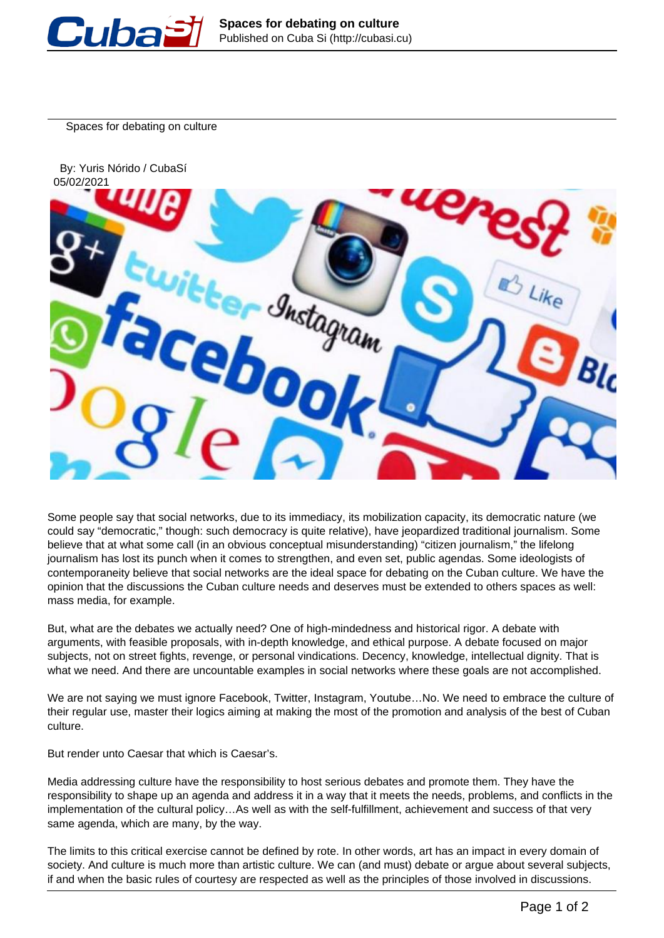

Spaces for debating on culture



Some people say that social networks, due to its immediacy, its mobilization capacity, its democratic nature (we could say "democratic," though: such democracy is quite relative), have jeopardized traditional journalism. Some believe that at what some call (in an obvious conceptual misunderstanding) "citizen journalism," the lifelong journalism has lost its punch when it comes to strengthen, and even set, public agendas. Some ideologists of contemporaneity believe that social networks are the ideal space for debating on the Cuban culture. We have the opinion that the discussions the Cuban culture needs and deserves must be extended to others spaces as well: mass media, for example.

But, what are the debates we actually need? One of high-mindedness and historical rigor. A debate with arguments, with feasible proposals, with in-depth knowledge, and ethical purpose. A debate focused on major subjects, not on street fights, revenge, or personal vindications. Decency, knowledge, intellectual dignity. That is what we need. And there are uncountable examples in social networks where these goals are not accomplished.

We are not saying we must ignore Facebook, Twitter, Instagram, Youtube…No. We need to embrace the culture of their regular use, master their logics aiming at making the most of the promotion and analysis of the best of Cuban culture.

But render unto Caesar that which is Caesar's.

Media addressing culture have the responsibility to host serious debates and promote them. They have the responsibility to shape up an agenda and address it in a way that it meets the needs, problems, and conflicts in the implementation of the cultural policy…As well as with the self-fulfillment, achievement and success of that very same agenda, which are many, by the way.

The limits to this critical exercise cannot be defined by rote. In other words, art has an impact in every domain of society. And culture is much more than artistic culture. We can (and must) debate or argue about several subjects, if and when the basic rules of courtesy are respected as well as the principles of those involved in discussions.